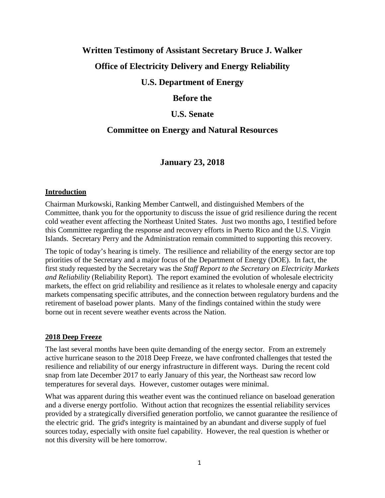# **Written Testimony of Assistant Secretary Bruce J. Walker**

## **Office of Electricity Delivery and Energy Reliability**

### **U.S. Department of Energy**

### **Before the**

### **U.S. Senate**

# **Committee on Energy and Natural Resources**

# **January 23, 2018**

#### **Introduction**

Chairman Murkowski, Ranking Member Cantwell, and distinguished Members of the Committee, thank you for the opportunity to discuss the issue of grid resilience during the recent cold weather event affecting the Northeast United States. Just two months ago, I testified before this Committee regarding the response and recovery efforts in Puerto Rico and the U.S. Virgin Islands. Secretary Perry and the Administration remain committed to supporting this recovery.

The topic of today's hearing is timely. The resilience and reliability of the energy sector are top priorities of the Secretary and a major focus of the Department of Energy (DOE). In fact, the first study requested by the Secretary was the *Staff Report to the Secretary on Electricity Markets and Reliability* (Reliability Report). The report examined the evolution of wholesale electricity markets, the effect on grid reliability and resilience as it relates to wholesale energy and capacity markets compensating specific attributes, and the connection between regulatory burdens and the retirement of baseload power plants. Many of the findings contained within the study were borne out in recent severe weather events across the Nation.

#### **2018 Deep Freeze**

The last several months have been quite demanding of the energy sector. From an extremely active hurricane season to the 2018 Deep Freeze, we have confronted challenges that tested the resilience and reliability of our energy infrastructure in different ways. During the recent cold snap from late December 2017 to early January of this year, the Northeast saw record low temperatures for several days. However, customer outages were minimal.

What was apparent during this weather event was the continued reliance on baseload generation and a diverse energy portfolio. Without action that recognizes the essential reliability services provided by a strategically diversified generation portfolio, we cannot guarantee the resilience of the electric grid. The grid's integrity is maintained by an abundant and diverse supply of fuel sources today, especially with onsite fuel capability. However, the real question is whether or not this diversity will be here tomorrow.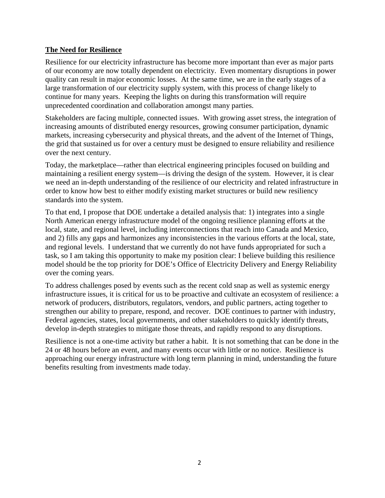#### **The Need for Resilience**

Resilience for our electricity infrastructure has become more important than ever as major parts of our economy are now totally dependent on electricity. Even momentary disruptions in power quality can result in major economic losses. At the same time, we are in the early stages of a large transformation of our electricity supply system, with this process of change likely to continue for many years. Keeping the lights on during this transformation will require unprecedented coordination and collaboration amongst many parties.

Stakeholders are facing multiple, connected issues. With growing asset stress, the integration of increasing amounts of distributed energy resources, growing consumer participation, dynamic markets, increasing cybersecurity and physical threats, and the advent of the Internet of Things, the grid that sustained us for over a century must be designed to ensure reliability and resilience over the next century.

Today, the marketplace—rather than electrical engineering principles focused on building and maintaining a resilient energy system—is driving the design of the system. However, it is clear we need an in-depth understanding of the resilience of our electricity and related infrastructure in order to know how best to either modify existing market structures or build new resiliency standards into the system.

To that end, I propose that DOE undertake a detailed analysis that: 1) integrates into a single North American energy infrastructure model of the ongoing resilience planning efforts at the local, state, and regional level, including interconnections that reach into Canada and Mexico, and 2) fills any gaps and harmonizes any inconsistencies in the various efforts at the local, state, and regional levels. I understand that we currently do not have funds appropriated for such a task, so I am taking this opportunity to make my position clear: I believe building this resilience model should be the top priority for DOE's Office of Electricity Delivery and Energy Reliability over the coming years.

To address challenges posed by events such as the recent cold snap as well as systemic energy infrastructure issues, it is critical for us to be proactive and cultivate an ecosystem of resilience: a network of producers, distributors, regulators, vendors, and public partners, acting together to strengthen our ability to prepare, respond, and recover. DOE continues to partner with industry, Federal agencies, states, local governments, and other stakeholders to quickly identify threats, develop in-depth strategies to mitigate those threats, and rapidly respond to any disruptions.

Resilience is not a one-time activity but rather a habit. It is not something that can be done in the 24 or 48 hours before an event, and many events occur with little or no notice. Resilience is approaching our energy infrastructure with long term planning in mind, understanding the future benefits resulting from investments made today.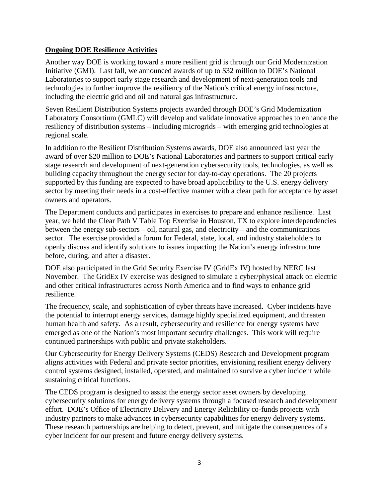#### **Ongoing DOE Resilience Activities**

Another way DOE is working toward a more resilient grid is through our Grid Modernization Initiative (GMI). Last fall, we announced awards of up to \$32 million to DOE's National Laboratories to support early stage research and development of next-generation tools and technologies to further improve the resiliency of the Nation's critical energy infrastructure, including the electric grid and oil and natural gas infrastructure.

Seven Resilient Distribution Systems projects awarded through DOE's Grid Modernization Laboratory Consortium (GMLC) will develop and validate innovative approaches to enhance the resiliency of distribution systems – including microgrids – with emerging grid technologies at regional scale.

In addition to the Resilient Distribution Systems awards, DOE also announced last year the award of over \$20 million to DOE's National Laboratories and partners to support critical early stage research and development of next-generation cybersecurity tools, technologies, as well as building capacity throughout the energy sector for day-to-day operations. The 20 projects supported by this funding are expected to have broad applicability to the U.S. energy delivery sector by meeting their needs in a cost-effective manner with a clear path for acceptance by asset owners and operators.

The Department conducts and participates in exercises to prepare and enhance resilience. Last year, we held the Clear Path V Table Top Exercise in Houston, TX to explore interdependencies between the energy sub-sectors – oil, natural gas, and electricity – and the communications sector. The exercise provided a forum for Federal, state, local, and industry stakeholders to openly discuss and identify solutions to issues impacting the Nation's energy infrastructure before, during, and after a disaster.

DOE also participated in the Grid Security Exercise IV (GridEx IV) hosted by NERC last November. The GridEx IV exercise was designed to simulate a cyber/physical attack on electric and other critical infrastructures across North America and to find ways to enhance grid resilience.

The frequency, scale, and sophistication of cyber threats have increased. Cyber incidents have the potential to interrupt energy services, damage highly specialized equipment, and threaten human health and safety. As a result, cybersecurity and resilience for energy systems have emerged as one of the Nation's most important security challenges. This work will require continued partnerships with public and private stakeholders.

Our Cybersecurity for Energy Delivery Systems (CEDS) Research and Development program aligns activities with Federal and private sector priorities, envisioning resilient energy delivery control systems designed, installed, operated, and maintained to survive a cyber incident while sustaining critical functions.

The CEDS program is designed to assist the energy sector asset owners by developing cybersecurity solutions for energy delivery systems through a focused research and development effort. DOE's Office of Electricity Delivery and Energy Reliability co-funds projects with industry partners to make advances in cybersecurity capabilities for energy delivery systems. These research partnerships are helping to detect, prevent, and mitigate the consequences of a cyber incident for our present and future energy delivery systems.